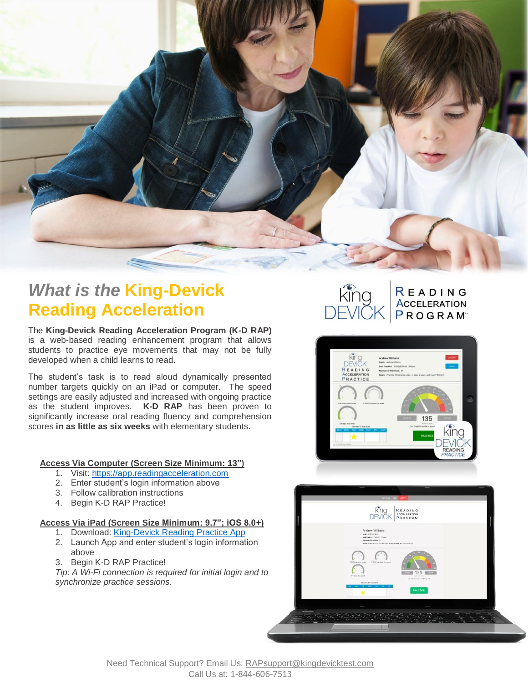

# *What is the* **King-Devick Reading Acceleration**

The **Program? King-Devick Reading Acceleration Program (K-D RAP)** is a web-based reading enhancement program that allows students to practice eye movements that may not be fully developed when a child learns to read.

The student's task is to read aloud dynamically presented number targets quickly on an iPad or computer. The speed settings are easily adjusted and increased with ongoing practice as the student improves. **K-D RAP** has been proven to significantly increase oral reading fluency and comprehension scores **in as little as six weeks** with elementary students.

### **Access Via Computer (Screen Size Minimum: 13")**

- 1. Visit: [https://app.readingacceleration.com](https://app.readingacceleration.com/)
- 2. Enter student's login information above
- 3. Follow calibration instructions
- 4. Begin K-D RAP Practice!

#### **Access Via iPad (Screen Size Minimum: 9.7"; iOS 8.0+)**

- 1. Download: King-Devick Reading Practice App
- 2. Launch App and enter student's login information above
- 3. Begin K-D RAP Practice!

*Tip: A Wi-Fi connection is required for initial login and to synchronize practice sessions.*









Need Technical Support? Email Us: [RAPsupport@kingdevicktest.com](mailto:RAPsupport@kingdevicktest.com) Call Us at: 1-844-606-7513